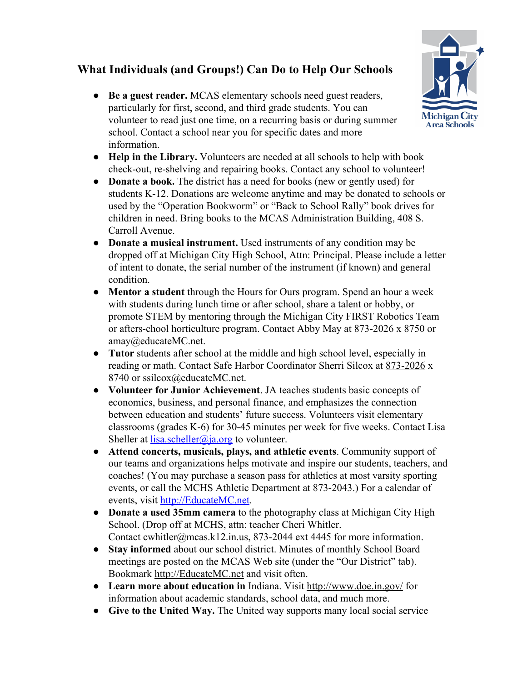## **What Individuals (and Groups!) Can Do to Help Our Schools**

- **Be a guest reader.** MCAS elementary schools need guest readers, particularly for first, second, and third grade students. You can volunteer to read just one time, on a recurring basis or during summer school. Contact a school near you for specific dates and more information.
- **Help in the Library.** Volunteers are needed at all schools to help with book check-out, re-shelving and repairing books. Contact any school to volunteer!
- **Donate a book.** The district has a need for books (new or gently used) for students K-12. Donations are welcome anytime and may be donated to schools or used by the "Operation Bookworm" or "Back to School Rally" book drives for children in need. Bring books to the MCAS Administration Building, 408 S. Carroll Avenue.
- **Donate a musical instrument.** Used instruments of any condition may be dropped off at Michigan City High School, Attn: Principal. Please include a letter of intent to donate, the serial number of the instrument (if known) and general condition.
- **Mentor a student** through the Hours for Ours program. Spend an hour a week with students during lunch time or after school, share a talent or hobby, or promote STEM by mentoring through the Michigan City FIRST Robotics Team or afters-chool horticulture program. Contact Abby May at 873-2026 x 8750 or amay@educateMC.net.
- **Tutor** students after school at the middle and high school level, especially in reading or math. Contact Safe Harbor Coordinator Sherri Silcox at 873-2026 x 8740 or ssilcox@educateMC.net.
- **Volunteer for Junior Achievement**. JA teaches students basic concepts of economics, business, and personal finance, and emphasizes the connection between education and students' future success. Volunteers visit elementary classrooms (grades K-6) for 30-45 minutes per week for five weeks. Contact Lisa Sheller at [lisa.scheller@ja.org](mailto:lisa.scheller@ja.org) to volunteer.
- **Attend concerts, musicals, plays, and athletic events**. Community support of our teams and organizations helps motivate and inspire our students, teachers, and coaches! (You may purchase a season pass for athletics at most varsity sporting events, or call the MCHS Athletic Department at 873-2043.) For a calendar of events, visit [http://EducateMC.net.](http://educatemc.net/)
- **Donate a used 35mm camera** to the photography class at Michigan City High School. (Drop off at MCHS, attn: teacher Cheri Whitler. Contact cwhitler@mcas.k12.in.us, 873-2044 ext 4445 for more information.
- **Stay informed** about our school district. Minutes of monthly School Board meetings are posted on the MCAS Web site (under the "Our District" tab). Bookmark [http://EducateMC.net](http://educatemc.net/) and visit often.
- **Learn more about education in** Indiana. Visit<http://www.doe.in.gov/>for information about academic standards, school data, and much more.
- **Give to the United Way.** The United way supports many local social service

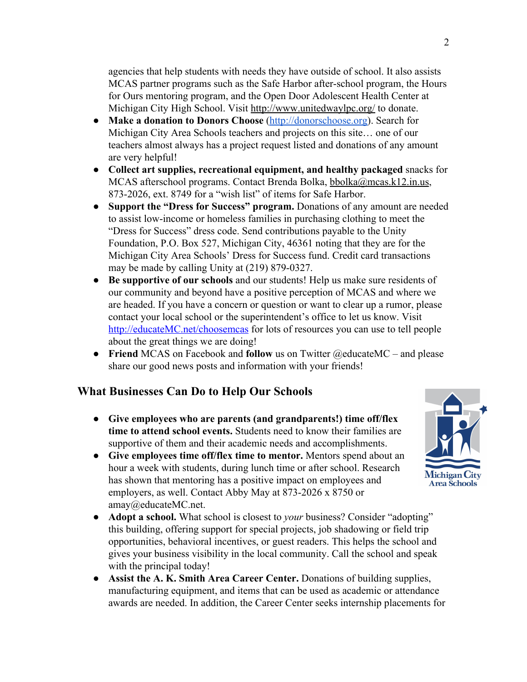agencies that help students with needs they have outside of school. It also assists MCAS partner programs such as the Safe Harbor after-school program, the Hours for Ours mentoring program, and the Open Door Adolescent Health Center at Michigan City High School. Visit<http://www.unitedwaylpc.org/>to donate.

- **Make a donation to Donors Choose** [\(http://donorschoose.org\)](http://donorschoose.org/). Search for Michigan City Area Schools teachers and projects on this site… one of our teachers almost always has a project request listed and donations of any amount are very helpful!
- **Collect art supplies, recreational equipment, and healthy packaged** snacks for MCAS afterschool programs. Contact Brenda Bolka, [bbolka@mcas.k12.in.us,](mailto:bbolka@mcas.k12.in.us) 873-2026, ext. 8749 for a "wish list" of items for Safe Harbor.
- **Support the "Dress for Success" program.** Donations of any amount are needed to assist low-income or homeless families in purchasing clothing to meet the "Dress for Success" dress code. Send contributions payable to the Unity Foundation, P.O. Box 527, Michigan City, 46361 noting that they are for the Michigan City Area Schools' Dress for Success fund. Credit card transactions may be made by calling Unity at (219) 879-0327.
- **Be supportive of our schools** and our students! Help us make sure residents of our community and beyond have a positive perception of MCAS and where we are headed. If you have a concern or question or want to clear up a rumor, please contact your local school or the superintendent's office to let us know. Visit [http://educateMC.net/choosemcas](http://educatemc.net/choosemcas) for lots of resources you can use to tell people about the great things we are doing!
- **Friend** MCAS on Facebook and **follow** us on Twitter @educateMC and please share our good news posts and information with your friends!

## **What Businesses Can Do to Help Our Schools**

- **Give employees who are parents (and grandparents!) time off/flex time to attend school events.** Students need to know their families are supportive of them and their academic needs and accomplishments.
- **Give employees time off/flex time to mentor.** Mentors spend about an hour a week with students, during lunch time or after school. Research has shown that mentoring has a positive impact on employees and employers, as well. Contact Abby May at 873-2026 x 8750 or amay@educateMC.net.
- **Adopt a school.** What school is closest to *your* business? Consider "adopting" this building, offering support for special projects, job shadowing or field trip opportunities, behavioral incentives, or guest readers. This helps the school and gives your business visibility in the local community. Call the school and speak with the principal today!
- **Assist the A. K. Smith Area Career Center.** Donations of building supplies, manufacturing equipment, and items that can be used as academic or attendance awards are needed. In addition, the Career Center seeks internship placements for

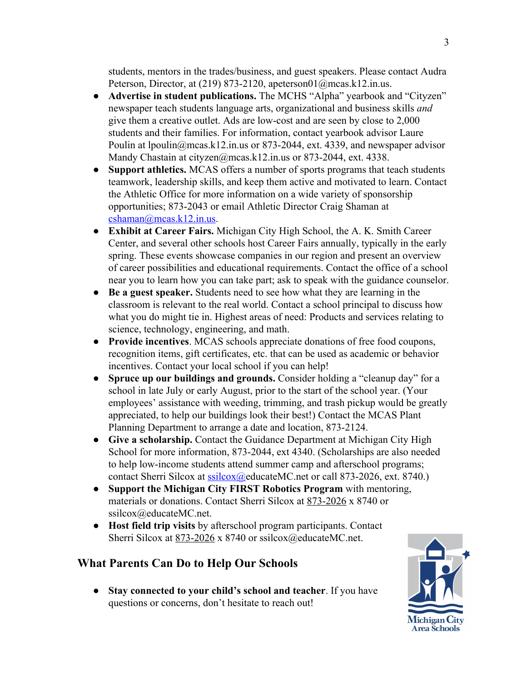students, mentors in the trades/business, and guest speakers. Please contact Audra Peterson, Director, at (219) 873-2120, apeterson01@mcas.k12.in.us.

- **Advertise in student publications.** The MCHS "Alpha" yearbook and "Cityzen" newspaper teach students language arts, organizational and business skills *and* give them a creative outlet. Ads are low-cost and are seen by close to 2,000 students and their families. For information, contact yearbook advisor Laure Poulin at lpoulin@mcas.k12.in.us or 873-2044, ext. 4339, and newspaper advisor Mandy Chastain at [cityzen@mcas.k12.in.us](mailto:cityzen@mcas.k12.in.us) or 873-2044, ext. 4338.
- **Support athletics.** MCAS offers a number of sports programs that teach students teamwork, leadership skills, and keep them active and motivated to learn. Contact the Athletic Office for more information on a wide variety of sponsorship opportunities; 873-2043 or email Athletic Director Craig Shaman at  $cshaman(\omega)$ mcas.k12.in.us.
- **Exhibit at Career Fairs.** Michigan City High School, the A. K. Smith Career Center, and several other schools host Career Fairs annually, typically in the early spring. These events showcase companies in our region and present an overview of career possibilities and educational requirements. Contact the office of a school near you to learn how you can take part; ask to speak with the guidance counselor.
- **Be a guest speaker.** Students need to see how what they are learning in the classroom is relevant to the real world. Contact a school principal to discuss how what you do might tie in. Highest areas of need: Products and services relating to science, technology, engineering, and math.
- **Provide incentives**. MCAS schools appreciate donations of free food coupons, recognition items, gift certificates, etc. that can be used as academic or behavior incentives. Contact your local school if you can help!
- **Spruce up our buildings and grounds.** Consider holding a "cleanup day" for a school in late July or early August, prior to the start of the school year. (Your employees' assistance with weeding, trimming, and trash pickup would be greatly appreciated, to help our buildings look their best!) Contact the MCAS Plant Planning Department to arrange a date and location, 873-2124.
- **Give a scholarship.** Contact the Guidance Department at Michigan City High School for more information, 873-2044, ext 4340. (Scholarships are also needed to help low-income students attend summer camp and afterschool programs; contact Sherri Silcox at [ssilcox@e](mailto:ssilcox@mcas.k12.in.us)ducateMC.net or call 873-2026, ext. 8740.)
- **Support the Michigan City FIRST Robotics Program** with mentoring, materials or donations. Contact Sherri Silcox at [873-2026](mailto:873-2026) x 8740 or ssilcox@educateMC.net.
- **Host field trip visits** by afterschool program participants. Contact Sherri Silcox at 873-2026 x 8740 or ssilcox@educateMC.net.

## **What Parents Can Do to Help Our Schools**

● **Stay connected to your child's school and teacher**. If you have questions or concerns, don't hesitate to reach out!